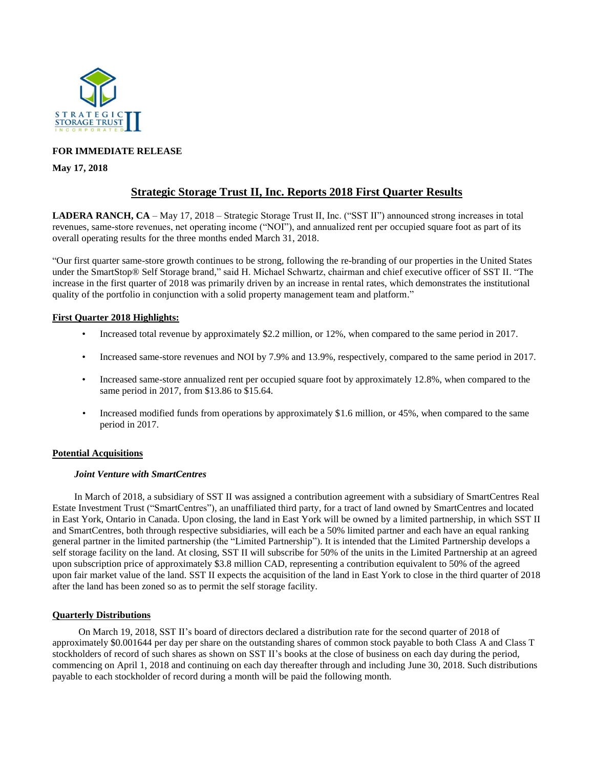

### **FOR IMMEDIATE RELEASE**

### **May 17, 2018**

# **Strategic Storage Trust II, Inc. Reports 2018 First Quarter Results**

**LADERA RANCH, CA** – May 17, 2018 – Strategic Storage Trust II, Inc. ("SST II") announced strong increases in total revenues, same-store revenues, net operating income ("NOI"), and annualized rent per occupied square foot as part of its overall operating results for the three months ended March 31, 2018.

"Our first quarter same-store growth continues to be strong, following the re-branding of our properties in the United States under the SmartStop® Self Storage brand," said H. Michael Schwartz, chairman and chief executive officer of SST II. "The increase in the first quarter of 2018 was primarily driven by an increase in rental rates, which demonstrates the institutional quality of the portfolio in conjunction with a solid property management team and platform."

### **First Quarter 2018 Highlights:**

- Increased total revenue by approximately \$2.2 million, or 12%, when compared to the same period in 2017.
- Increased same-store revenues and NOI by 7.9% and 13.9%, respectively, compared to the same period in 2017.
- Increased same-store annualized rent per occupied square foot by approximately 12.8%, when compared to the same period in 2017, from \$13.86 to \$15.64.
- Increased modified funds from operations by approximately \$1.6 million, or 45%, when compared to the same period in 2017.

### **Potential Acquisitions**

### *Joint Venture with SmartCentres*

In March of 2018, a subsidiary of SST II was assigned a contribution agreement with a subsidiary of SmartCentres Real Estate Investment Trust ("SmartCentres"), an unaffiliated third party, for a tract of land owned by SmartCentres and located in East York, Ontario in Canada. Upon closing, the land in East York will be owned by a limited partnership, in which SST II and SmartCentres, both through respective subsidiaries, will each be a 50% limited partner and each have an equal ranking general partner in the limited partnership (the "Limited Partnership"). It is intended that the Limited Partnership develops a self storage facility on the land. At closing, SST II will subscribe for 50% of the units in the Limited Partnership at an agreed upon subscription price of approximately \$3.8 million CAD, representing a contribution equivalent to 50% of the agreed upon fair market value of the land. SST II expects the acquisition of the land in East York to close in the third quarter of 2018 after the land has been zoned so as to permit the self storage facility.

### **Quarterly Distributions**

On March 19, 2018, SST II's board of directors declared a distribution rate for the second quarter of 2018 of approximately \$0.001644 per day per share on the outstanding shares of common stock payable to both Class A and Class T stockholders of record of such shares as shown on SST II's books at the close of business on each day during the period, commencing on April 1, 2018 and continuing on each day thereafter through and including June 30, 2018. Such distributions payable to each stockholder of record during a month will be paid the following month.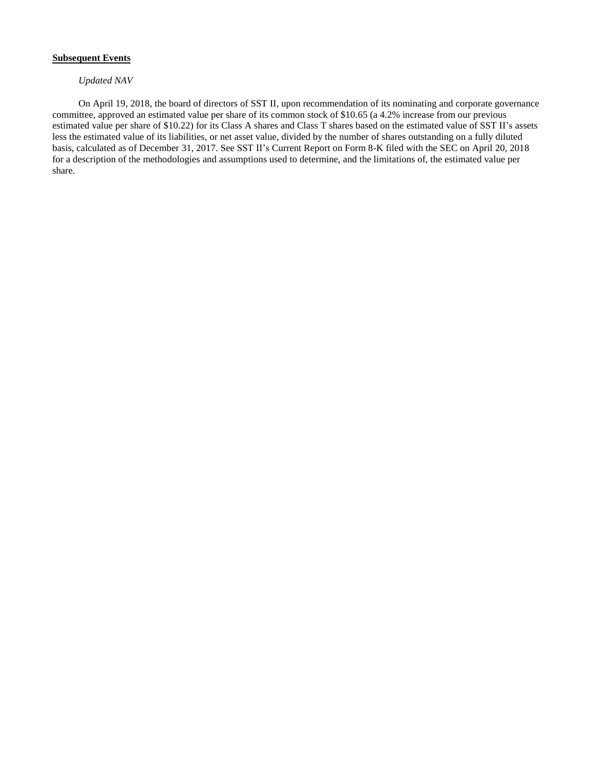### **Subsequent Events**

### *Updated NAV*

On April 19, 2018, the board of directors of SST II, upon recommendation of its nominating and corporate governance committee, approved an estimated value per share of its common stock of \$10.65 (a 4.2% increase from our previous estimated value per share of \$10.22) for its Class A shares and Class T shares based on the estimated value of SST II's assets less the estimated value of its liabilities, or net asset value, divided by the number of shares outstanding on a fully diluted basis, calculated as of December 31, 2017. See SST II's Current Report on Form 8-K filed with the SEC on April 20, 2018 for a description of the methodologies and assumptions used to determine, and the limitations of, the estimated value per share.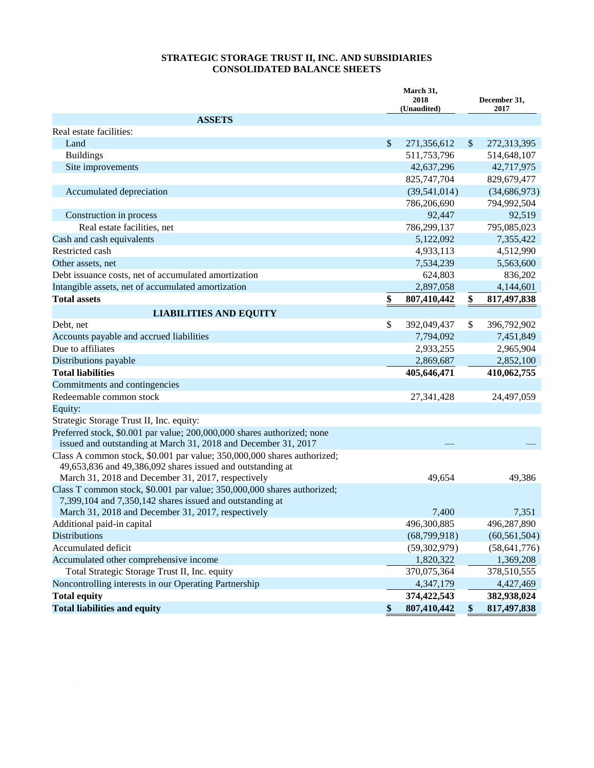## **STRATEGIC STORAGE TRUST II, INC. AND SUBSIDIARIES CONSOLIDATED BALANCE SHEETS**

|                                                                                                                                           | March 31,<br>2018<br>(Unaudited) |                   | December 31,<br>2017 |  |
|-------------------------------------------------------------------------------------------------------------------------------------------|----------------------------------|-------------------|----------------------|--|
| <b>ASSETS</b>                                                                                                                             |                                  |                   |                      |  |
| Real estate facilities:                                                                                                                   |                                  |                   |                      |  |
| Land                                                                                                                                      | \$<br>271,356,612                | \$                | 272,313,395          |  |
| <b>Buildings</b>                                                                                                                          | 511,753,796                      |                   | 514,648,107          |  |
| Site improvements                                                                                                                         | 42,637,296                       |                   | 42,717,975           |  |
|                                                                                                                                           | 825,747,704                      |                   | 829,679,477          |  |
| Accumulated depreciation                                                                                                                  | (39, 541, 014)                   |                   | (34, 686, 973)       |  |
|                                                                                                                                           | 786,206,690                      |                   | 794,992,504          |  |
| Construction in process                                                                                                                   | 92,447                           |                   | 92,519               |  |
| Real estate facilities, net                                                                                                               | 786,299,137                      |                   | 795,085,023          |  |
| Cash and cash equivalents                                                                                                                 | 5,122,092                        |                   | 7,355,422            |  |
| Restricted cash                                                                                                                           | 4,933,113                        |                   | 4,512,990            |  |
| Other assets, net                                                                                                                         | 7,534,239                        |                   | 5,563,600            |  |
| Debt issuance costs, net of accumulated amortization                                                                                      | 624,803                          |                   | 836,202              |  |
| Intangible assets, net of accumulated amortization                                                                                        | 2,897,058                        |                   | 4,144,601            |  |
| <b>Total assets</b>                                                                                                                       | \$<br>807,410,442                | \$                | 817,497,838          |  |
| <b>LIABILITIES AND EQUITY</b>                                                                                                             |                                  |                   |                      |  |
| Debt, net                                                                                                                                 | \$<br>392,049,437                | \$                | 396,792,902          |  |
| Accounts payable and accrued liabilities                                                                                                  | 7,794,092                        |                   | 7,451,849            |  |
| Due to affiliates                                                                                                                         | 2,933,255                        |                   | 2,965,904            |  |
| Distributions payable                                                                                                                     | 2,869,687                        |                   | 2,852,100            |  |
| <b>Total liabilities</b>                                                                                                                  | 405,646,471                      |                   | 410,062,755          |  |
| Commitments and contingencies                                                                                                             |                                  |                   |                      |  |
| Redeemable common stock                                                                                                                   | 27,341,428                       |                   | 24,497,059           |  |
| Equity:                                                                                                                                   |                                  |                   |                      |  |
| Strategic Storage Trust II, Inc. equity:                                                                                                  |                                  |                   |                      |  |
| Preferred stock, \$0.001 par value; 200,000,000 shares authorized; none<br>issued and outstanding at March 31, 2018 and December 31, 2017 |                                  |                   |                      |  |
| Class A common stock, \$0.001 par value; 350,000,000 shares authorized;<br>49,653,836 and 49,386,092 shares issued and outstanding at     |                                  |                   |                      |  |
| March 31, 2018 and December 31, 2017, respectively                                                                                        | 49,654                           |                   | 49,386               |  |
| Class T common stock, \$0.001 par value; 350,000,000 shares authorized;<br>7,399,104 and 7,350,142 shares issued and outstanding at       |                                  |                   |                      |  |
| March 31, 2018 and December 31, 2017, respectively                                                                                        | 7,400                            |                   | 7,351                |  |
| Additional paid-in capital                                                                                                                | 496,300,885                      |                   | 496,287,890          |  |
| <b>Distributions</b>                                                                                                                      | (68,799,918)                     |                   | (60, 561, 504)       |  |
| Accumulated deficit                                                                                                                       | (59, 302, 979)                   |                   | (58, 641, 776)       |  |
| Accumulated other comprehensive income                                                                                                    | 1,820,322                        |                   | 1,369,208            |  |
| Total Strategic Storage Trust II, Inc. equity                                                                                             | 370,075,364                      |                   | 378,510,555          |  |
| Noncontrolling interests in our Operating Partnership                                                                                     | 4,347,179                        |                   | 4,427,469            |  |
| <b>Total equity</b>                                                                                                                       | 374,422,543                      |                   | 382,938,024          |  |
| <b>Total liabilities and equity</b>                                                                                                       | \$<br>807,410,442                | $\boldsymbol{\$}$ | 817,497,838          |  |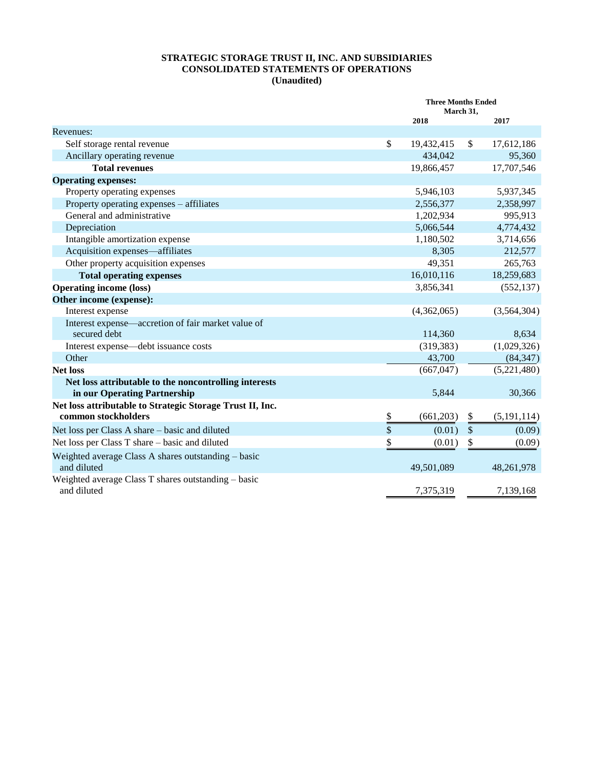### **STRATEGIC STORAGE TRUST II, INC. AND SUBSIDIARIES CONSOLIDATED STATEMENTS OF OPERATIONS (Unaudited)**

|                                                                                       | <b>Three Months Ended</b><br>March 31, |               |               |
|---------------------------------------------------------------------------------------|----------------------------------------|---------------|---------------|
|                                                                                       | 2018                                   |               | 2017          |
| Revenues:                                                                             |                                        |               |               |
| Self storage rental revenue                                                           | \$<br>19,432,415                       | $\mathsf{\$}$ | 17,612,186    |
| Ancillary operating revenue                                                           | 434,042                                |               | 95,360        |
| <b>Total revenues</b>                                                                 | 19,866,457                             |               | 17,707,546    |
| <b>Operating expenses:</b>                                                            |                                        |               |               |
| Property operating expenses                                                           | 5,946,103                              |               | 5,937,345     |
| Property operating expenses – affiliates                                              | 2,556,377                              |               | 2,358,997     |
| General and administrative                                                            | 1,202,934                              |               | 995,913       |
| Depreciation                                                                          | 5,066,544                              |               | 4,774,432     |
| Intangible amortization expense                                                       | 1,180,502                              |               | 3,714,656     |
| Acquisition expenses—affiliates                                                       | 8,305                                  |               | 212,577       |
| Other property acquisition expenses                                                   | 49,351                                 |               | 265,763       |
| <b>Total operating expenses</b>                                                       | 16,010,116                             |               | 18,259,683    |
| <b>Operating income (loss)</b>                                                        | 3,856,341                              |               | (552, 137)    |
| Other income (expense):                                                               |                                        |               |               |
| Interest expense                                                                      | (4,362,065)                            |               | (3,564,304)   |
| Interest expense—accretion of fair market value of<br>secured debt                    | 114,360                                |               | 8,634         |
| Interest expense—debt issuance costs                                                  | (319, 383)                             |               | (1,029,326)   |
| Other                                                                                 | 43,700                                 |               | (84, 347)     |
| <b>Net loss</b>                                                                       | (667, 047)                             |               | (5,221,480)   |
| Net loss attributable to the noncontrolling interests<br>in our Operating Partnership | 5,844                                  |               | 30,366        |
| Net loss attributable to Strategic Storage Trust II, Inc.<br>common stockholders      | \$<br>(661, 203)                       | \$            | (5, 191, 114) |
| Net loss per Class A share – basic and diluted                                        | \$<br>(0.01)                           | $\sqrt$       | (0.09)        |
| Net loss per Class T share – basic and diluted                                        | \$<br>(0.01)                           | \$            | (0.09)        |
| Weighted average Class A shares outstanding – basic<br>and diluted                    | 49,501,089                             |               | 48,261,978    |
| Weighted average Class T shares outstanding – basic<br>and diluted                    | 7,375,319                              |               | 7,139,168     |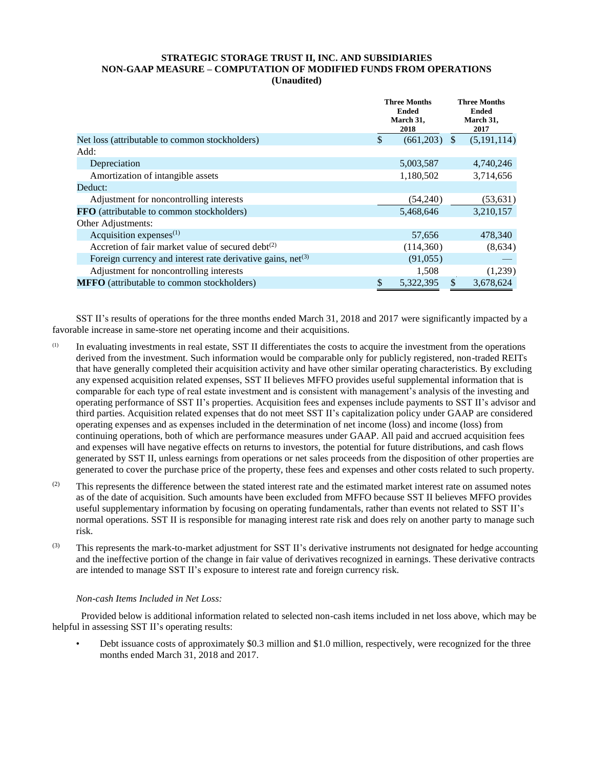### **STRATEGIC STORAGE TRUST II, INC. AND SUBSIDIARIES NON-GAAP MEASURE – COMPUTATION OF MODIFIED FUNDS FROM OPERATIONS (Unaudited)**

|                                                                  | <b>Three Months</b><br><b>Ended</b><br>March 31,<br>2018 |               | <b>Three Months</b><br><b>Ended</b><br>March 31,<br>2017 |
|------------------------------------------------------------------|----------------------------------------------------------|---------------|----------------------------------------------------------|
| Net loss (attributable to common stockholders)                   | \$<br>(661,203)                                          | <sup>\$</sup> | (5, 191, 114)                                            |
| Add:                                                             |                                                          |               |                                                          |
| Depreciation                                                     | 5,003,587                                                |               | 4,740,246                                                |
| Amortization of intangible assets                                | 1,180,502                                                |               | 3,714,656                                                |
| Deduct:                                                          |                                                          |               |                                                          |
| Adjustment for noncontrolling interests                          | (54,240)                                                 |               | (53, 631)                                                |
| FFO (attributable to common stockholders)                        | 5,468,646                                                |               | 3,210,157                                                |
| Other Adjustments:                                               |                                                          |               |                                                          |
| Acquisition expenses $(1)$                                       | 57,656                                                   |               | 478,340                                                  |
| Accretion of fair market value of secured debt $(2)$             | (114,360)                                                |               | (8,634)                                                  |
| Foreign currency and interest rate derivative gains, $net^{(3)}$ | (91,055)                                                 |               |                                                          |
| Adjustment for noncontrolling interests                          | 1,508                                                    |               | (1,239)                                                  |
| <b>MFFO</b> (attributable to common stockholders)                | \$<br>5,322,395                                          | $\mathbb{S}$  | 3.678.624                                                |

SST II's results of operations for the three months ended March 31, 2018 and 2017 were significantly impacted by a favorable increase in same-store net operating income and their acquisitions.

- (1) In evaluating investments in real estate, SST II differentiates the costs to acquire the investment from the operations derived from the investment. Such information would be comparable only for publicly registered, non-traded REITs that have generally completed their acquisition activity and have other similar operating characteristics. By excluding any expensed acquisition related expenses, SST II believes MFFO provides useful supplemental information that is comparable for each type of real estate investment and is consistent with management's analysis of the investing and operating performance of SST II's properties. Acquisition fees and expenses include payments to SST II's advisor and third parties. Acquisition related expenses that do not meet SST II's capitalization policy under GAAP are considered operating expenses and as expenses included in the determination of net income (loss) and income (loss) from continuing operations, both of which are performance measures under GAAP. All paid and accrued acquisition fees and expenses will have negative effects on returns to investors, the potential for future distributions, and cash flows generated by SST II, unless earnings from operations or net sales proceeds from the disposition of other properties are generated to cover the purchase price of the property, these fees and expenses and other costs related to such property.
- $(2)$  This represents the difference between the stated interest rate and the estimated market interest rate on assumed notes as of the date of acquisition. Such amounts have been excluded from MFFO because SST II believes MFFO provides useful supplementary information by focusing on operating fundamentals, rather than events not related to SST II's normal operations. SST II is responsible for managing interest rate risk and does rely on another party to manage such risk.
- (3) This represents the mark-to-market adjustment for SST II's derivative instruments not designated for hedge accounting and the ineffective portion of the change in fair value of derivatives recognized in earnings. These derivative contracts are intended to manage SST II's exposure to interest rate and foreign currency risk.

### *Non-cash Items Included in Net Loss:*

Provided below is additional information related to selected non-cash items included in net loss above, which may be helpful in assessing SST II's operating results:

• Debt issuance costs of approximately \$0.3 million and \$1.0 million, respectively, were recognized for the three months ended March 31, 2018 and 2017.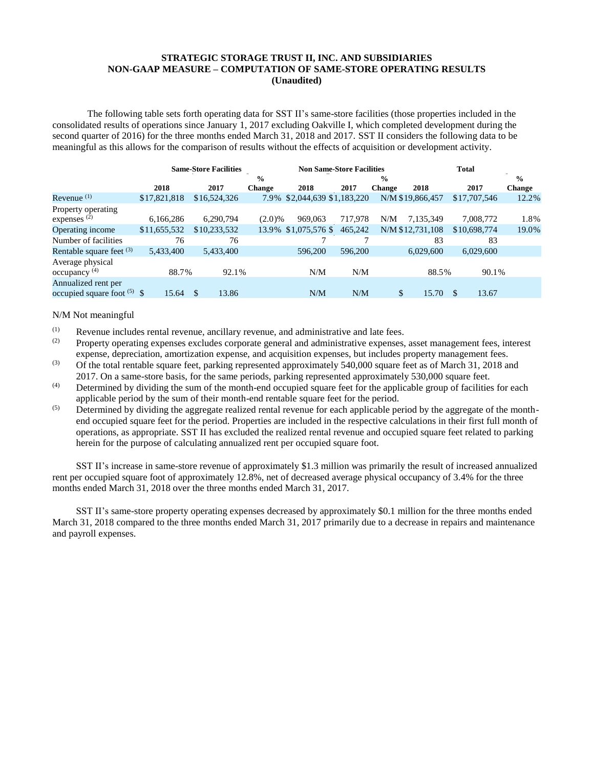### **STRATEGIC STORAGE TRUST II, INC. AND SUBSIDIARIES NON-GAAP MEASURE – COMPUTATION OF SAME-STORE OPERATING RESULTS (Unaudited)**

The following table sets forth operating data for SST II's same-store facilities (those properties included in the consolidated results of operations since January 1, 2017 excluding Oakville I, which completed development during the second quarter of 2016) for the three months ended March 31, 2018 and 2017. SST II considers the following data to be meaningful as this allows for the comparison of results without the effects of acquisition or development activity.

|                               | <b>Same-Store Facilities</b> |              |               | <b>Non Same-Store Facilities</b> |         |               |                  | <b>Total</b>           |               |  |
|-------------------------------|------------------------------|--------------|---------------|----------------------------------|---------|---------------|------------------|------------------------|---------------|--|
|                               |                              |              | $\frac{0}{0}$ |                                  |         | $\frac{0}{0}$ |                  |                        | $\frac{0}{0}$ |  |
|                               | 2018                         | 2017         | <b>Change</b> | 2018                             | 2017    | <b>Change</b> | 2018             | 2017                   | <b>Change</b> |  |
| Revenue $(1)$                 | \$17,821,818                 | \$16,524,326 | 7.9%          | \$2,044,639 \$1,183,220          |         |               | N/M \$19,866,457 | \$17,707,546           | 12.2%         |  |
| Property operating            |                              |              |               |                                  |         |               |                  |                        |               |  |
| expenses <sup>(2)</sup>       | 6,166,286                    | 6,290,794    | $(2.0)\%$     | 969,063                          | 717,978 | N/M           | 7,135,349        | 7,008,772              | 1.8%          |  |
| Operating income              | \$11,655,532                 | \$10,233,532 | 13.9%         | $$1,075,576$ \$                  | 465,242 |               | N/M \$12,731,108 | \$10,698,774           | 19.0%         |  |
| Number of facilities          | 76                           | 76           |               |                                  |         |               | 83               | 83                     |               |  |
| Rentable square feet $(3)$    | 5,433,400                    | 5,433,400    |               | 596,200                          | 596,200 |               | 6,029,600        | 6,029,600              |               |  |
| Average physical              |                              |              |               |                                  |         |               |                  |                        |               |  |
| $\alpha$ occupancy $(4)$      | 88.7%                        | 92.1%        |               | N/M                              | N/M     |               | 88.5%            | 90.1%                  |               |  |
| Annualized rent per           |                              |              |               |                                  |         |               |                  |                        |               |  |
| occupied square foot $(5)$ \$ | 15.64                        | \$<br>13.86  |               | N/M                              | N/M     | \$            | 15.70            | 13.67<br><sup>\$</sup> |               |  |

#### N/M Not meaningful

- (1) Revenue includes rental revenue, ancillary revenue, and administrative and late fees.<br>(2) Property operating sympatics sympathes correcte concrete administrative sympathes
- (2) Property operating expenses excludes corporate general and administrative expenses, asset management fees, interest expense, depreciation, amortization expense, and acquisition expenses, but includes property management fees.
- $(3)$  Of the total rentable square feet, parking represented approximately 540,000 square feet as of March 31, 2018 and 2017. On a same-store basis, for the same periods, parking represented approximately 530,000 square feet.
- $(4)$  Determined by dividing the sum of the month-end occupied square feet for the applicable group of facilities for each applicable period by the sum of their month-end rentable square feet for the period.
- $\overrightarrow{S}$  Determined by dividing the aggregate realized rental revenue for each applicable period by the aggregate of the monthend occupied square feet for the period. Properties are included in the respective calculations in their first full month of operations, as appropriate. SST II has excluded the realized rental revenue and occupied square feet related to parking herein for the purpose of calculating annualized rent per occupied square foot.

SST II's increase in same-store revenue of approximately \$1.3 million was primarily the result of increased annualized rent per occupied square foot of approximately 12.8%, net of decreased average physical occupancy of 3.4% for the three months ended March 31, 2018 over the three months ended March 31, 2017.

SST II's same-store property operating expenses decreased by approximately \$0.1 million for the three months ended March 31, 2018 compared to the three months ended March 31, 2017 primarily due to a decrease in repairs and maintenance and payroll expenses.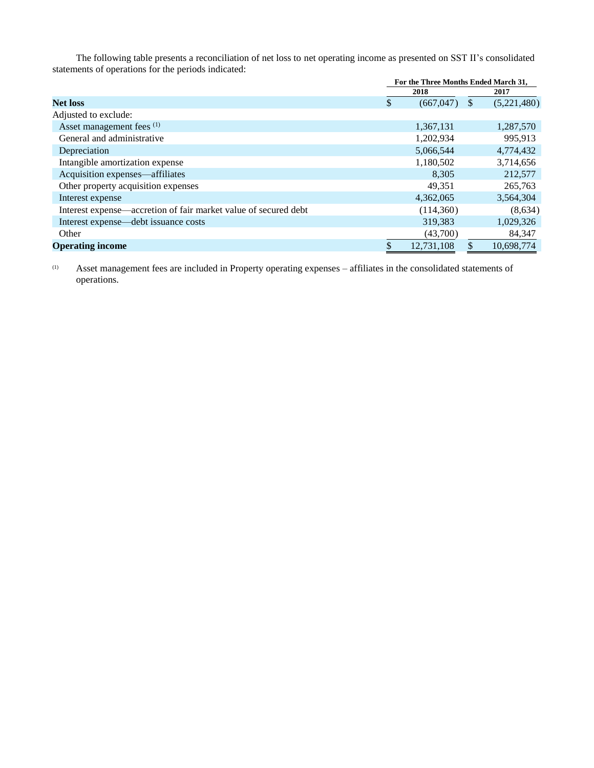The following table presents a reconciliation of net loss to net operating income as presented on SST II's consolidated statements of operations for the periods indicated:

|                                                                 | For the Three Months Ended March 31, |    |             |  |
|-----------------------------------------------------------------|--------------------------------------|----|-------------|--|
|                                                                 | 2018                                 |    | 2017        |  |
| <b>Net loss</b>                                                 | \$<br>(667,047)                      | \$ | (5,221,480) |  |
| Adjusted to exclude:                                            |                                      |    |             |  |
| Asset management fees <sup>(1)</sup>                            | 1,367,131                            |    | 1,287,570   |  |
| General and administrative                                      | 1,202,934                            |    | 995,913     |  |
| Depreciation                                                    | 5,066,544                            |    | 4,774,432   |  |
| Intangible amortization expense                                 | 1,180,502                            |    | 3,714,656   |  |
| Acquisition expenses—affiliates                                 | 8.305                                |    | 212,577     |  |
| Other property acquisition expenses                             | 49.351                               |    | 265,763     |  |
| Interest expense                                                | 4,362,065                            |    | 3,564,304   |  |
| Interest expense—accretion of fair market value of secured debt | (114,360)                            |    | (8,634)     |  |
| Interest expense—debt issuance costs                            | 319,383                              |    | 1,029,326   |  |
| Other                                                           | (43,700)                             |    | 84,347      |  |
| <b>Operating income</b>                                         | 12,731,108                           |    | 10,698,774  |  |

(1) Asset management fees are included in Property operating expenses – affiliates in the consolidated statements of operations.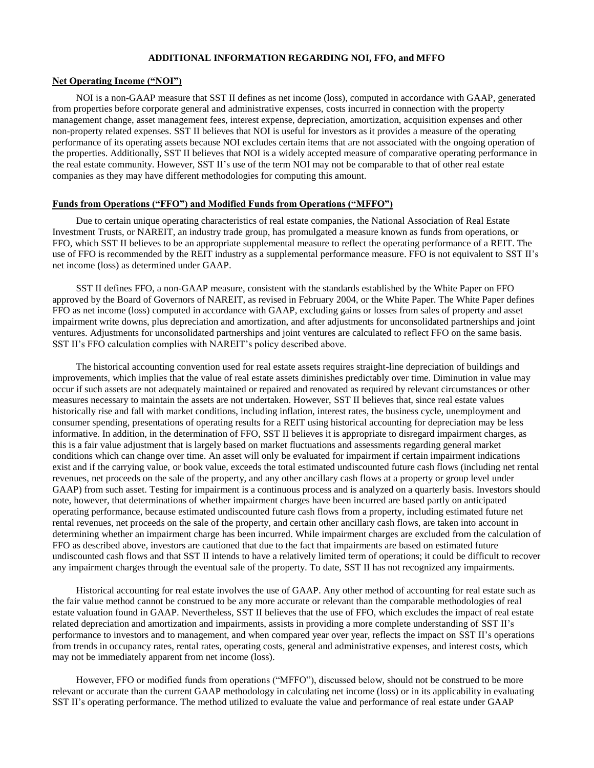### **ADDITIONAL INFORMATION REGARDING NOI, FFO, and MFFO**

#### **Net Operating Income ("NOI")**

NOI is a non-GAAP measure that SST II defines as net income (loss), computed in accordance with GAAP, generated from properties before corporate general and administrative expenses, costs incurred in connection with the property management change, asset management fees, interest expense, depreciation, amortization, acquisition expenses and other non-property related expenses. SST II believes that NOI is useful for investors as it provides a measure of the operating performance of its operating assets because NOI excludes certain items that are not associated with the ongoing operation of the properties. Additionally, SST II believes that NOI is a widely accepted measure of comparative operating performance in the real estate community. However, SST II's use of the term NOI may not be comparable to that of other real estate companies as they may have different methodologies for computing this amount.

### **Funds from Operations ("FFO") and Modified Funds from Operations ("MFFO")**

Due to certain unique operating characteristics of real estate companies, the National Association of Real Estate Investment Trusts, or NAREIT, an industry trade group, has promulgated a measure known as funds from operations, or FFO, which SST II believes to be an appropriate supplemental measure to reflect the operating performance of a REIT. The use of FFO is recommended by the REIT industry as a supplemental performance measure. FFO is not equivalent to SST II's net income (loss) as determined under GAAP.

SST II defines FFO, a non-GAAP measure, consistent with the standards established by the White Paper on FFO approved by the Board of Governors of NAREIT, as revised in February 2004, or the White Paper. The White Paper defines FFO as net income (loss) computed in accordance with GAAP, excluding gains or losses from sales of property and asset impairment write downs, plus depreciation and amortization, and after adjustments for unconsolidated partnerships and joint ventures. Adjustments for unconsolidated partnerships and joint ventures are calculated to reflect FFO on the same basis. SST II's FFO calculation complies with NAREIT's policy described above.

The historical accounting convention used for real estate assets requires straight-line depreciation of buildings and improvements, which implies that the value of real estate assets diminishes predictably over time. Diminution in value may occur if such assets are not adequately maintained or repaired and renovated as required by relevant circumstances or other measures necessary to maintain the assets are not undertaken. However, SST II believes that, since real estate values historically rise and fall with market conditions, including inflation, interest rates, the business cycle, unemployment and consumer spending, presentations of operating results for a REIT using historical accounting for depreciation may be less informative. In addition, in the determination of FFO, SST II believes it is appropriate to disregard impairment charges, as this is a fair value adjustment that is largely based on market fluctuations and assessments regarding general market conditions which can change over time. An asset will only be evaluated for impairment if certain impairment indications exist and if the carrying value, or book value, exceeds the total estimated undiscounted future cash flows (including net rental revenues, net proceeds on the sale of the property, and any other ancillary cash flows at a property or group level under GAAP) from such asset. Testing for impairment is a continuous process and is analyzed on a quarterly basis. Investors should note, however, that determinations of whether impairment charges have been incurred are based partly on anticipated operating performance, because estimated undiscounted future cash flows from a property, including estimated future net rental revenues, net proceeds on the sale of the property, and certain other ancillary cash flows, are taken into account in determining whether an impairment charge has been incurred. While impairment charges are excluded from the calculation of FFO as described above, investors are cautioned that due to the fact that impairments are based on estimated future undiscounted cash flows and that SST II intends to have a relatively limited term of operations; it could be difficult to recover any impairment charges through the eventual sale of the property. To date, SST II has not recognized any impairments.

Historical accounting for real estate involves the use of GAAP. Any other method of accounting for real estate such as the fair value method cannot be construed to be any more accurate or relevant than the comparable methodologies of real estate valuation found in GAAP. Nevertheless, SST II believes that the use of FFO, which excludes the impact of real estate related depreciation and amortization and impairments, assists in providing a more complete understanding of SST II's performance to investors and to management, and when compared year over year, reflects the impact on SST II's operations from trends in occupancy rates, rental rates, operating costs, general and administrative expenses, and interest costs, which may not be immediately apparent from net income (loss).

However, FFO or modified funds from operations ("MFFO"), discussed below, should not be construed to be more relevant or accurate than the current GAAP methodology in calculating net income (loss) or in its applicability in evaluating SST II's operating performance. The method utilized to evaluate the value and performance of real estate under GAAP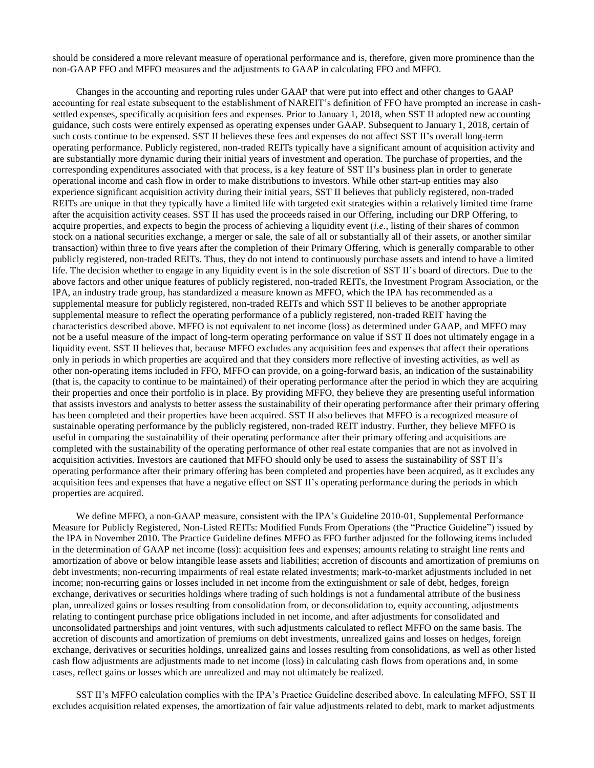should be considered a more relevant measure of operational performance and is, therefore, given more prominence than the non-GAAP FFO and MFFO measures and the adjustments to GAAP in calculating FFO and MFFO.

Changes in the accounting and reporting rules under GAAP that were put into effect and other changes to GAAP accounting for real estate subsequent to the establishment of NAREIT's definition of FFO have prompted an increase in cashsettled expenses, specifically acquisition fees and expenses. Prior to January 1, 2018, when SST II adopted new accounting guidance, such costs were entirely expensed as operating expenses under GAAP. Subsequent to January 1, 2018, certain of such costs continue to be expensed. SST II believes these fees and expenses do not affect SST II's overall long-term operating performance. Publicly registered, non-traded REITs typically have a significant amount of acquisition activity and are substantially more dynamic during their initial years of investment and operation. The purchase of properties, and the corresponding expenditures associated with that process, is a key feature of SST II's business plan in order to generate operational income and cash flow in order to make distributions to investors. While other start-up entities may also experience significant acquisition activity during their initial years, SST II believes that publicly registered, non-traded REITs are unique in that they typically have a limited life with targeted exit strategies within a relatively limited time frame after the acquisition activity ceases. SST II has used the proceeds raised in our Offering, including our DRP Offering, to acquire properties, and expects to begin the process of achieving a liquidity event (*i.e.*, listing of their shares of common stock on a national securities exchange, a merger or sale, the sale of all or substantially all of their assets, or another similar transaction) within three to five years after the completion of their Primary Offering, which is generally comparable to other publicly registered, non-traded REITs. Thus, they do not intend to continuously purchase assets and intend to have a limited life. The decision whether to engage in any liquidity event is in the sole discretion of SST II's board of directors. Due to the above factors and other unique features of publicly registered, non-traded REITs, the Investment Program Association, or the IPA, an industry trade group, has standardized a measure known as MFFO, which the IPA has recommended as a supplemental measure for publicly registered, non-traded REITs and which SST II believes to be another appropriate supplemental measure to reflect the operating performance of a publicly registered, non-traded REIT having the characteristics described above. MFFO is not equivalent to net income (loss) as determined under GAAP, and MFFO may not be a useful measure of the impact of long-term operating performance on value if SST II does not ultimately engage in a liquidity event. SST II believes that, because MFFO excludes any acquisition fees and expenses that affect their operations only in periods in which properties are acquired and that they considers more reflective of investing activities, as well as other non-operating items included in FFO, MFFO can provide, on a going-forward basis, an indication of the sustainability (that is, the capacity to continue to be maintained) of their operating performance after the period in which they are acquiring their properties and once their portfolio is in place. By providing MFFO, they believe they are presenting useful information that assists investors and analysts to better assess the sustainability of their operating performance after their primary offering has been completed and their properties have been acquired. SST II also believes that MFFO is a recognized measure of sustainable operating performance by the publicly registered, non-traded REIT industry. Further, they believe MFFO is useful in comparing the sustainability of their operating performance after their primary offering and acquisitions are completed with the sustainability of the operating performance of other real estate companies that are not as involved in acquisition activities. Investors are cautioned that MFFO should only be used to assess the sustainability of SST II's operating performance after their primary offering has been completed and properties have been acquired, as it excludes any acquisition fees and expenses that have a negative effect on SST II's operating performance during the periods in which properties are acquired.

We define MFFO, a non-GAAP measure, consistent with the IPA's Guideline 2010-01, Supplemental Performance Measure for Publicly Registered, Non-Listed REITs: Modified Funds From Operations (the "Practice Guideline") issued by the IPA in November 2010. The Practice Guideline defines MFFO as FFO further adjusted for the following items included in the determination of GAAP net income (loss): acquisition fees and expenses; amounts relating to straight line rents and amortization of above or below intangible lease assets and liabilities; accretion of discounts and amortization of premiums on debt investments; non-recurring impairments of real estate related investments; mark-to-market adjustments included in net income; non-recurring gains or losses included in net income from the extinguishment or sale of debt, hedges, foreign exchange, derivatives or securities holdings where trading of such holdings is not a fundamental attribute of the business plan, unrealized gains or losses resulting from consolidation from, or deconsolidation to, equity accounting, adjustments relating to contingent purchase price obligations included in net income, and after adjustments for consolidated and unconsolidated partnerships and joint ventures, with such adjustments calculated to reflect MFFO on the same basis. The accretion of discounts and amortization of premiums on debt investments, unrealized gains and losses on hedges, foreign exchange, derivatives or securities holdings, unrealized gains and losses resulting from consolidations, as well as other listed cash flow adjustments are adjustments made to net income (loss) in calculating cash flows from operations and, in some cases, reflect gains or losses which are unrealized and may not ultimately be realized.

SST II's MFFO calculation complies with the IPA's Practice Guideline described above. In calculating MFFO, SST II excludes acquisition related expenses, the amortization of fair value adjustments related to debt, mark to market adjustments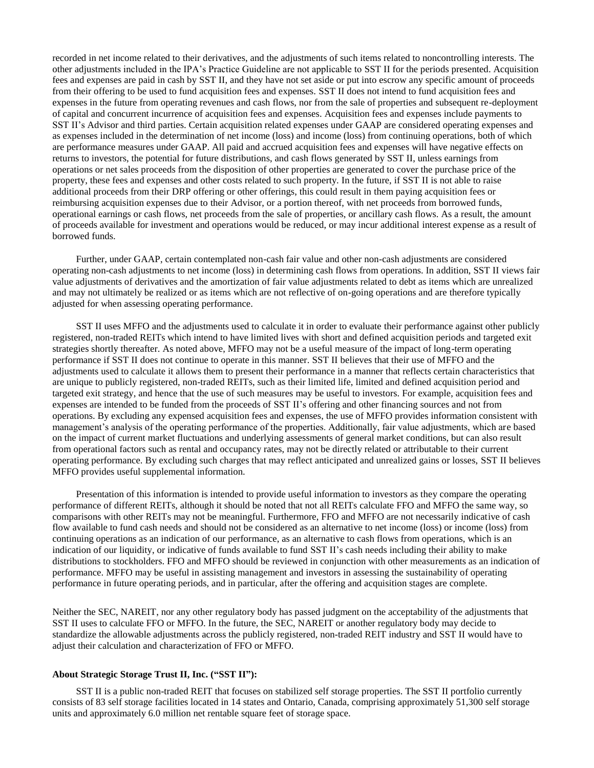recorded in net income related to their derivatives, and the adjustments of such items related to noncontrolling interests. The other adjustments included in the IPA's Practice Guideline are not applicable to SST II for the periods presented. Acquisition fees and expenses are paid in cash by SST II, and they have not set aside or put into escrow any specific amount of proceeds from their offering to be used to fund acquisition fees and expenses. SST II does not intend to fund acquisition fees and expenses in the future from operating revenues and cash flows, nor from the sale of properties and subsequent re-deployment of capital and concurrent incurrence of acquisition fees and expenses. Acquisition fees and expenses include payments to SST II's Advisor and third parties. Certain acquisition related expenses under GAAP are considered operating expenses and as expenses included in the determination of net income (loss) and income (loss) from continuing operations, both of which are performance measures under GAAP. All paid and accrued acquisition fees and expenses will have negative effects on returns to investors, the potential for future distributions, and cash flows generated by SST II, unless earnings from operations or net sales proceeds from the disposition of other properties are generated to cover the purchase price of the property, these fees and expenses and other costs related to such property. In the future, if SST II is not able to raise additional proceeds from their DRP offering or other offerings, this could result in them paying acquisition fees or reimbursing acquisition expenses due to their Advisor, or a portion thereof, with net proceeds from borrowed funds, operational earnings or cash flows, net proceeds from the sale of properties, or ancillary cash flows. As a result, the amount of proceeds available for investment and operations would be reduced, or may incur additional interest expense as a result of borrowed funds.

Further, under GAAP, certain contemplated non-cash fair value and other non-cash adjustments are considered operating non-cash adjustments to net income (loss) in determining cash flows from operations. In addition, SST II views fair value adjustments of derivatives and the amortization of fair value adjustments related to debt as items which are unrealized and may not ultimately be realized or as items which are not reflective of on-going operations and are therefore typically adjusted for when assessing operating performance.

SST II uses MFFO and the adjustments used to calculate it in order to evaluate their performance against other publicly registered, non-traded REITs which intend to have limited lives with short and defined acquisition periods and targeted exit strategies shortly thereafter. As noted above, MFFO may not be a useful measure of the impact of long-term operating performance if SST II does not continue to operate in this manner. SST II believes that their use of MFFO and the adjustments used to calculate it allows them to present their performance in a manner that reflects certain characteristics that are unique to publicly registered, non-traded REITs, such as their limited life, limited and defined acquisition period and targeted exit strategy, and hence that the use of such measures may be useful to investors. For example, acquisition fees and expenses are intended to be funded from the proceeds of SST II's offering and other financing sources and not from operations. By excluding any expensed acquisition fees and expenses, the use of MFFO provides information consistent with management's analysis of the operating performance of the properties. Additionally, fair value adjustments, which are based on the impact of current market fluctuations and underlying assessments of general market conditions, but can also result from operational factors such as rental and occupancy rates, may not be directly related or attributable to their current operating performance. By excluding such charges that may reflect anticipated and unrealized gains or losses, SST II believes MFFO provides useful supplemental information.

Presentation of this information is intended to provide useful information to investors as they compare the operating performance of different REITs, although it should be noted that not all REITs calculate FFO and MFFO the same way, so comparisons with other REITs may not be meaningful. Furthermore, FFO and MFFO are not necessarily indicative of cash flow available to fund cash needs and should not be considered as an alternative to net income (loss) or income (loss) from continuing operations as an indication of our performance, as an alternative to cash flows from operations, which is an indication of our liquidity, or indicative of funds available to fund SST II's cash needs including their ability to make distributions to stockholders. FFO and MFFO should be reviewed in conjunction with other measurements as an indication of performance. MFFO may be useful in assisting management and investors in assessing the sustainability of operating performance in future operating periods, and in particular, after the offering and acquisition stages are complete.

Neither the SEC, NAREIT, nor any other regulatory body has passed judgment on the acceptability of the adjustments that SST II uses to calculate FFO or MFFO. In the future, the SEC, NAREIT or another regulatory body may decide to standardize the allowable adjustments across the publicly registered, non-traded REIT industry and SST II would have to adjust their calculation and characterization of FFO or MFFO.

### **About Strategic Storage Trust II, Inc. ("SST II"):**

SST II is a public non-traded REIT that focuses on stabilized self storage properties. The SST II portfolio currently consists of 83 self storage facilities located in 14 states and Ontario, Canada, comprising approximately 51,300 self storage units and approximately 6.0 million net rentable square feet of storage space.